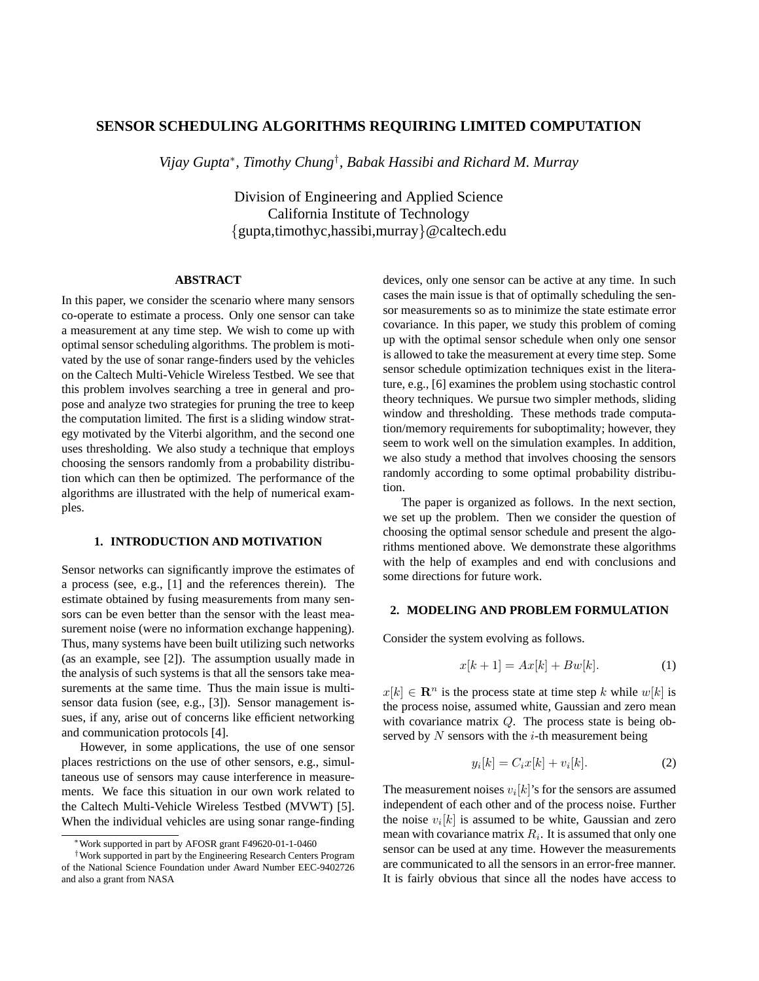# **SENSOR SCHEDULING ALGORITHMS REQUIRING LIMITED COMPUTATION**

*Vijay Gupta*<sup>∗</sup> *, Timothy Chung*† *, Babak Hassibi and Richard M. Murray*

Division of Engineering and Applied Science California Institute of Technology {gupta,timothyc,hassibi,murray}@caltech.edu

# **ABSTRACT**

In this paper, we consider the scenario where many sensors co-operate to estimate a process. Only one sensor can take a measurement at any time step. We wish to come up with optimal sensor scheduling algorithms. The problem is motivated by the use of sonar range-finders used by the vehicles on the Caltech Multi-Vehicle Wireless Testbed. We see that this problem involves searching a tree in general and propose and analyze two strategies for pruning the tree to keep the computation limited. The first is a sliding window strategy motivated by the Viterbi algorithm, and the second one uses thresholding. We also study a technique that employs choosing the sensors randomly from a probability distribution which can then be optimized. The performance of the algorithms are illustrated with the help of numerical examples.

#### **1. INTRODUCTION AND MOTIVATION**

Sensor networks can significantly improve the estimates of a process (see, e.g., [1] and the references therein). The estimate obtained by fusing measurements from many sensors can be even better than the sensor with the least measurement noise (were no information exchange happening). Thus, many systems have been built utilizing such networks (as an example, see [2]). The assumption usually made in the analysis of such systems is that all the sensors take measurements at the same time. Thus the main issue is multisensor data fusion (see, e.g., [3]). Sensor management issues, if any, arise out of concerns like efficient networking and communication protocols [4].

However, in some applications, the use of one sensor places restrictions on the use of other sensors, e.g., simultaneous use of sensors may cause interference in measurements. We face this situation in our own work related to the Caltech Multi-Vehicle Wireless Testbed (MVWT) [5]. When the individual vehicles are using sonar range-finding devices, only one sensor can be active at any time. In such cases the main issue is that of optimally scheduling the sensor measurements so as to minimize the state estimate error covariance. In this paper, we study this problem of coming up with the optimal sensor schedule when only one sensor is allowed to take the measurement at every time step. Some sensor schedule optimization techniques exist in the literature, e.g., [6] examines the problem using stochastic control theory techniques. We pursue two simpler methods, sliding window and thresholding. These methods trade computation/memory requirements for suboptimality; however, they seem to work well on the simulation examples. In addition, we also study a method that involves choosing the sensors randomly according to some optimal probability distribution.

The paper is organized as follows. In the next section, we set up the problem. Then we consider the question of choosing the optimal sensor schedule and present the algorithms mentioned above. We demonstrate these algorithms with the help of examples and end with conclusions and some directions for future work.

### **2. MODELING AND PROBLEM FORMULATION**

Consider the system evolving as follows.

$$
x[k+1] = Ax[k] + Bw[k]. \tag{1}
$$

 $x[k] \in \mathbb{R}^n$  is the process state at time step k while  $w[k]$  is the process noise, assumed white, Gaussian and zero mean with covariance matrix Q. The process state is being observed by  $N$  sensors with the  $i$ -th measurement being

$$
y_i[k] = C_i x[k] + v_i[k]. \tag{2}
$$

The measurement noises  $v_i[k]$ 's for the sensors are assumed independent of each other and of the process noise. Further the noise  $v_i[k]$  is assumed to be white, Gaussian and zero mean with covariance matrix  $R_i$ . It is assumed that only one sensor can be used at any time. However the measurements are communicated to all the sensors in an error-free manner. It is fairly obvious that since all the nodes have access to

<sup>∗</sup>Work supported in part by AFOSR grant F49620-01-1-0460

<sup>†</sup>Work supported in part by the Engineering Research Centers Program of the National Science Foundation under Award Number EEC-9402726 and also a grant from NASA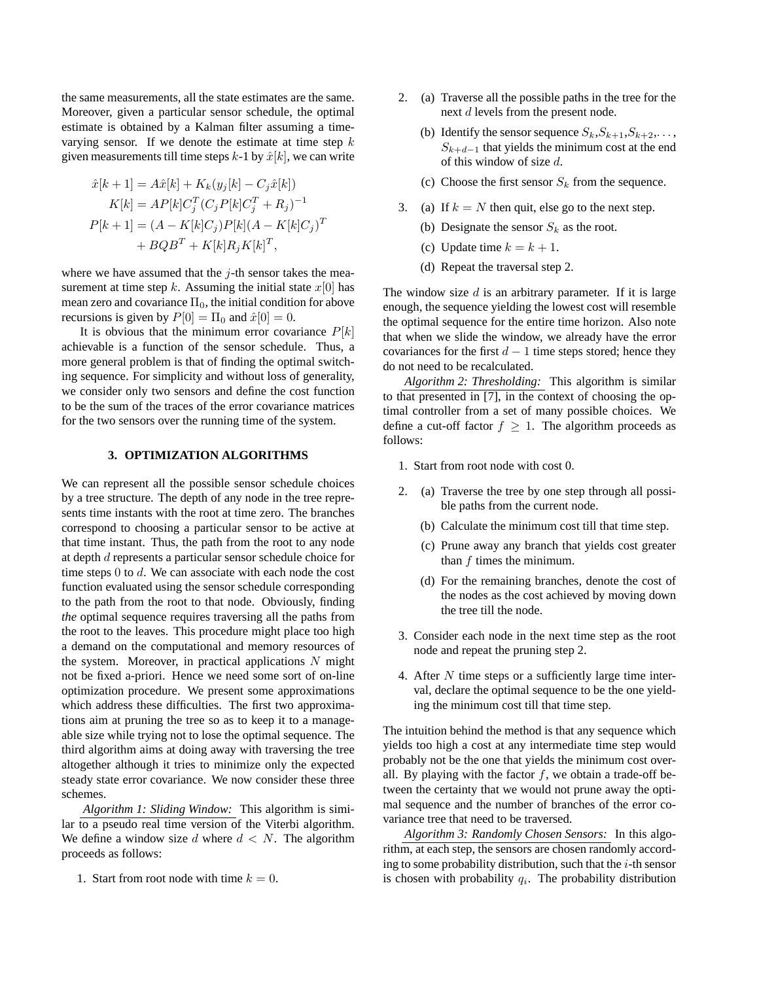the same measurements, all the state estimates are the same. Moreover, given a particular sensor schedule, the optimal estimate is obtained by a Kalman filter assuming a timevarying sensor. If we denote the estimate at time step  $k$ given measurements till time steps  $k-1$  by  $\hat{x}[k]$ , we can write

$$
\hat{x}[k+1] = A\hat{x}[k] + K_k(y_j[k] - C_j\hat{x}[k])
$$
  
\n
$$
K[k] = AP[k]C_j^T(C_jP[k]C_j^T + R_j)^{-1}
$$
  
\n
$$
P[k+1] = (A - K[k]C_j)P[k](A - K[k]C_j)^T
$$
  
\n
$$
+ BQB^T + K[k]R_jK[k]^T,
$$

where we have assumed that the  $j$ -th sensor takes the measurement at time step k. Assuming the initial state  $x[0]$  has mean zero and covariance  $\Pi_0$ , the initial condition for above recursions is given by  $P[0] = \Pi_0$  and  $\hat{x}[0] = 0$ .

It is obvious that the minimum error covariance  $P[k]$ achievable is a function of the sensor schedule. Thus, a more general problem is that of finding the optimal switching sequence. For simplicity and without loss of generality, we consider only two sensors and define the cost function to be the sum of the traces of the error covariance matrices for the two sensors over the running time of the system.

## **3. OPTIMIZATION ALGORITHMS**

We can represent all the possible sensor schedule choices by a tree structure. The depth of any node in the tree represents time instants with the root at time zero. The branches correspond to choosing a particular sensor to be active at that time instant. Thus, the path from the root to any node at depth d represents a particular sensor schedule choice for time steps 0 to d. We can associate with each node the cost function evaluated using the sensor schedule corresponding to the path from the root to that node. Obviously, finding *the* optimal sequence requires traversing all the paths from the root to the leaves. This procedure might place too high a demand on the computational and memory resources of the system. Moreover, in practical applications  $N$  might not be fixed a-priori. Hence we need some sort of on-line optimization procedure. We present some approximations which address these difficulties. The first two approximations aim at pruning the tree so as to keep it to a manageable size while trying not to lose the optimal sequence. The third algorithm aims at doing away with traversing the tree altogether although it tries to minimize only the expected steady state error covariance. We now consider these three schemes.

*Algorithm 1: Sliding Window:* This algorithm is similar to a pseudo real time version of the Viterbi algorithm. We define a window size d where  $d \, \langle N \rangle$ . The algorithm proceeds as follows:

1. Start from root node with time  $k = 0$ .

- 2. (a) Traverse all the possible paths in the tree for the next d levels from the present node.
	- (b) Identify the sensor sequence  $S_k, S_{k+1}, S_{k+2}, \ldots$ ,  $S_{k+d-1}$  that yields the minimum cost at the end of this window of size d.
	- (c) Choose the first sensor  $S_k$  from the sequence.
- 3. (a) If  $k = N$  then quit, else go to the next step.
	- (b) Designate the sensor  $S_k$  as the root.
	- (c) Update time  $k = k + 1$ .
	- (d) Repeat the traversal step 2.

The window size  $d$  is an arbitrary parameter. If it is large enough, the sequence yielding the lowest cost will resemble the optimal sequence for the entire time horizon. Also note that when we slide the window, we already have the error covariances for the first  $d - 1$  time steps stored; hence they do not need to be recalculated.

*Algorithm 2: Thresholding:* This algorithm is similar to that presented in [7], in the context of choosing the optimal controller from a set of many possible choices. We define a cut-off factor  $f \geq 1$ . The algorithm proceeds as follows:

- 1. Start from root node with cost 0.
- 2. (a) Traverse the tree by one step through all possible paths from the current node.
	- (b) Calculate the minimum cost till that time step.
	- (c) Prune away any branch that yields cost greater than f times the minimum.
	- (d) For the remaining branches, denote the cost of the nodes as the cost achieved by moving down the tree till the node.
- 3. Consider each node in the next time step as the root node and repeat the pruning step 2.
- 4. After N time steps or a sufficiently large time interval, declare the optimal sequence to be the one yielding the minimum cost till that time step.

The intuition behind the method is that any sequence which yields too high a cost at any intermediate time step would probably not be the one that yields the minimum cost overall. By playing with the factor  $f$ , we obtain a trade-off between the certainty that we would not prune away the optimal sequence and the number of branches of the error covariance tree that need to be traversed.

*Algorithm 3: Randomly Chosen Sensors:* In this algorithm, at each step, the sensors are chosen randomly according to some probability distribution, such that the  $i$ -th sensor is chosen with probability  $q_i$ . The probability distribution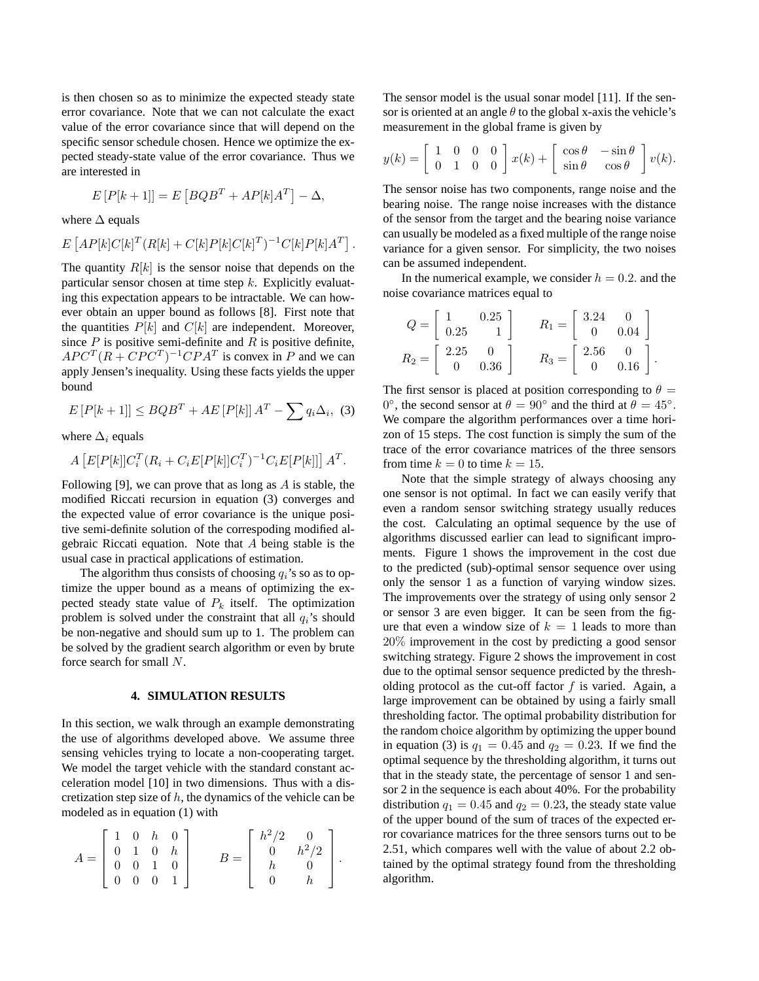is then chosen so as to minimize the expected steady state error covariance. Note that we can not calculate the exact value of the error covariance since that will depend on the specific sensor schedule chosen. Hence we optimize the expected steady-state value of the error covariance. Thus we are interested in

$$
E[P[k+1]] = E[BQB^{T} + AP[k]A^{T}] - \Delta,
$$

where  $\Delta$  equals

$$
E\left[AP[k]C[k]^T(R[k]+C[k]P[k]C[k]^T)^{-1}C[k]P[k]A^T\right]
$$

.

The quantity  $R[k]$  is the sensor noise that depends on the particular sensor chosen at time step  $k$ . Explicitly evaluating this expectation appears to be intractable. We can however obtain an upper bound as follows [8]. First note that the quantities  $P[k]$  and  $C[k]$  are independent. Moreover, since  $P$  is positive semi-definite and  $R$  is positive definite,  $APC^{T}(R + CPC^{T})^{-1}CPA^{T}$  is convex in P and we can apply Jensen's inequality. Using these facts yields the upper bound

$$
E[P[k+1]] \le BQB^T + AE[P[k]]A^T - \sum q_i \Delta_i, \quad (3)
$$

where  $\Delta_i$  equals

$$
A\left[E[P[k]]C_i^T(R_i+C_iE[P[k]]C_i^T)^{-1}C_iE[P[k]]\right]A^T.
$$

Following [9], we can prove that as long as  $A$  is stable, the modified Riccati recursion in equation (3) converges and the expected value of error covariance is the unique positive semi-definite solution of the correspoding modified algebraic Riccati equation. Note that A being stable is the usual case in practical applications of estimation.

The algorithm thus consists of choosing  $q_i$ 's so as to optimize the upper bound as a means of optimizing the expected steady state value of  $P_k$  itself. The optimization problem is solved under the constraint that all  $q_i$ 's should be non-negative and should sum up to 1. The problem can be solved by the gradient search algorithm or even by brute force search for small N.

#### **4. SIMULATION RESULTS**

In this section, we walk through an example demonstrating the use of algorithms developed above. We assume three sensing vehicles trying to locate a non-cooperating target. We model the target vehicle with the standard constant acceleration model [10] in two dimensions. Thus with a discretization step size of  $h$ , the dynamics of the vehicle can be modeled as in equation (1) with

$$
A = \begin{bmatrix} 1 & 0 & h & 0 \\ 0 & 1 & 0 & h \\ 0 & 0 & 1 & 0 \\ 0 & 0 & 0 & 1 \end{bmatrix} \qquad B = \begin{bmatrix} h^2/2 & 0 \\ 0 & h^2/2 \\ h & 0 \\ 0 & h \end{bmatrix}.
$$

The sensor model is the usual sonar model [11]. If the sensor is oriented at an angle  $\theta$  to the global x-axis the vehicle's measurement in the global frame is given by

$$
y(k) = \begin{bmatrix} 1 & 0 & 0 & 0 \\ 0 & 1 & 0 & 0 \end{bmatrix} x(k) + \begin{bmatrix} \cos \theta & -\sin \theta \\ \sin \theta & \cos \theta \end{bmatrix} v(k).
$$

The sensor noise has two components, range noise and the bearing noise. The range noise increases with the distance of the sensor from the target and the bearing noise variance can usually be modeled as a fixed multiple of the range noise variance for a given sensor. For simplicity, the two noises can be assumed independent.

In the numerical example, we consider  $h = 0.2$ . and the noise covariance matrices equal to

$$
Q = \begin{bmatrix} 1 & 0.25 \\ 0.25 & 1 \end{bmatrix} \qquad R_1 = \begin{bmatrix} 3.24 & 0 \\ 0 & 0.04 \end{bmatrix}
$$

$$
R_2 = \begin{bmatrix} 2.25 & 0 \\ 0 & 0.36 \end{bmatrix} \qquad R_3 = \begin{bmatrix} 2.56 & 0 \\ 0 & 0.16 \end{bmatrix}.
$$

The first sensor is placed at position corresponding to  $\theta =$ 0°, the second sensor at  $\theta = 90^\circ$  and the third at  $\theta = 45^\circ$ . We compare the algorithm performances over a time horizon of 15 steps. The cost function is simply the sum of the trace of the error covariance matrices of the three sensors from time  $k = 0$  to time  $k = 15$ .

Note that the simple strategy of always choosing any one sensor is not optimal. In fact we can easily verify that even a random sensor switching strategy usually reduces the cost. Calculating an optimal sequence by the use of algorithms discussed earlier can lead to significant improments. Figure 1 shows the improvement in the cost due to the predicted (sub)-optimal sensor sequence over using only the sensor 1 as a function of varying window sizes. The improvements over the strategy of using only sensor 2 or sensor 3 are even bigger. It can be seen from the figure that even a window size of  $k = 1$  leads to more than 20% improvement in the cost by predicting a good sensor switching strategy. Figure 2 shows the improvement in cost due to the optimal sensor sequence predicted by the thresholding protocol as the cut-off factor  $f$  is varied. Again, a large improvement can be obtained by using a fairly small thresholding factor. The optimal probability distribution for the random choice algorithm by optimizing the upper bound in equation (3) is  $q_1 = 0.45$  and  $q_2 = 0.23$ . If we find the optimal sequence by the thresholding algorithm, it turns out that in the steady state, the percentage of sensor 1 and sensor 2 in the sequence is each about 40%. For the probability distribution  $q_1 = 0.45$  and  $q_2 = 0.23$ , the steady state value of the upper bound of the sum of traces of the expected error covariance matrices for the three sensors turns out to be 2.51, which compares well with the value of about 2.2 obtained by the optimal strategy found from the thresholding algorithm.